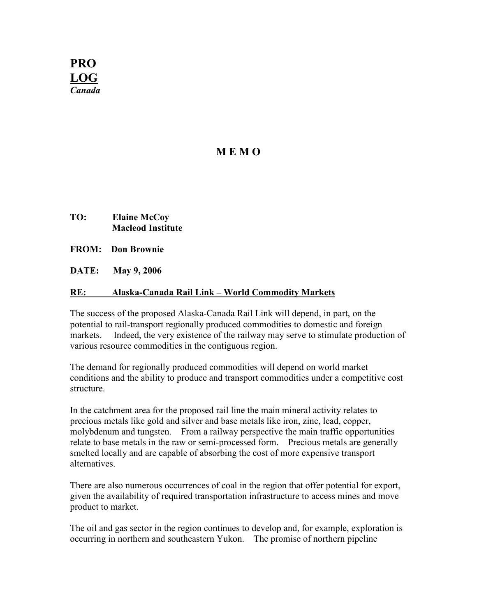

# MEMO<sub>1</sub>

- TO: Elaine McCoy Macleod Institute
- FROM: Don Brownie
- DATE: May 9, 2006

#### RE: Alaska-Canada Rail Link – World Commodity Markets

The success of the proposed Alaska-Canada Rail Link will depend, in part, on the potential to rail-transport regionally produced commodities to domestic and foreign markets. Indeed, the very existence of the railway may serve to stimulate production of various resource commodities in the contiguous region.

The demand for regionally produced commodities will depend on world market conditions and the ability to produce and transport commodities under a competitive cost structure.

In the catchment area for the proposed rail line the main mineral activity relates to precious metals like gold and silver and base metals like iron, zinc, lead, copper, molybdenum and tungsten. From a railway perspective the main traffic opportunities relate to base metals in the raw or semi-processed form. Precious metals are generally smelted locally and are capable of absorbing the cost of more expensive transport alternatives.

There are also numerous occurrences of coal in the region that offer potential for export, given the availability of required transportation infrastructure to access mines and move product to market.

The oil and gas sector in the region continues to develop and, for example, exploration is occurring in northern and southeastern Yukon. The promise of northern pipeline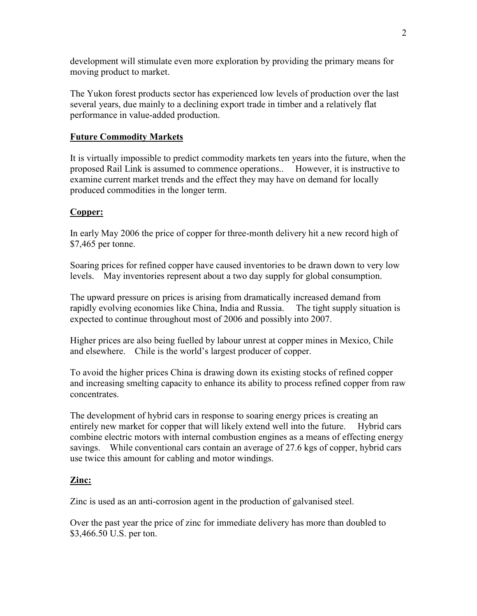development will stimulate even more exploration by providing the primary means for moving product to market.

The Yukon forest products sector has experienced low levels of production over the last several years, due mainly to a declining export trade in timber and a relatively flat performance in value-added production.

#### Future Commodity Markets

It is virtually impossible to predict commodity markets ten years into the future, when the proposed Rail Link is assumed to commence operations.. However, it is instructive to examine current market trends and the effect they may have on demand for locally produced commodities in the longer term.

### Copper:

In early May 2006 the price of copper for three-month delivery hit a new record high of \$7,465 per tonne.

Soaring prices for refined copper have caused inventories to be drawn down to very low levels. May inventories represent about a two day supply for global consumption.

The upward pressure on prices is arising from dramatically increased demand from rapidly evolving economies like China, India and Russia. The tight supply situation is expected to continue throughout most of 2006 and possibly into 2007.

Higher prices are also being fuelled by labour unrest at copper mines in Mexico, Chile and elsewhere. Chile is the world's largest producer of copper.

To avoid the higher prices China is drawing down its existing stocks of refined copper and increasing smelting capacity to enhance its ability to process refined copper from raw concentrates.

The development of hybrid cars in response to soaring energy prices is creating an entirely new market for copper that will likely extend well into the future. Hybrid cars combine electric motors with internal combustion engines as a means of effecting energy savings. While conventional cars contain an average of 27.6 kgs of copper, hybrid cars use twice this amount for cabling and motor windings.

#### Zinc:

Zinc is used as an anti-corrosion agent in the production of galvanised steel.

Over the past year the price of zinc for immediate delivery has more than doubled to \$3,466.50 U.S. per ton.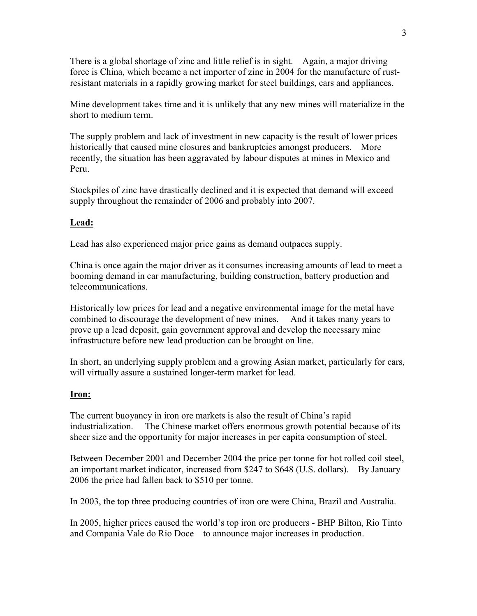There is a global shortage of zinc and little relief is in sight. Again, a major driving force is China, which became a net importer of zinc in 2004 for the manufacture of rustresistant materials in a rapidly growing market for steel buildings, cars and appliances.

Mine development takes time and it is unlikely that any new mines will materialize in the short to medium term.

The supply problem and lack of investment in new capacity is the result of lower prices historically that caused mine closures and bankruptcies amongst producers. More recently, the situation has been aggravated by labour disputes at mines in Mexico and Peru.

Stockpiles of zinc have drastically declined and it is expected that demand will exceed supply throughout the remainder of 2006 and probably into 2007.

## Lead:

Lead has also experienced major price gains as demand outpaces supply.

China is once again the major driver as it consumes increasing amounts of lead to meet a booming demand in car manufacturing, building construction, battery production and telecommunications.

Historically low prices for lead and a negative environmental image for the metal have combined to discourage the development of new mines. And it takes many years to prove up a lead deposit, gain government approval and develop the necessary mine infrastructure before new lead production can be brought on line.

In short, an underlying supply problem and a growing Asian market, particularly for cars, will virtually assure a sustained longer-term market for lead.

### Iron:

The current buoyancy in iron ore markets is also the result of China's rapid industrialization. The Chinese market offers enormous growth potential because of its sheer size and the opportunity for major increases in per capita consumption of steel.

Between December 2001 and December 2004 the price per tonne for hot rolled coil steel, an important market indicator, increased from \$247 to \$648 (U.S. dollars). By January 2006 the price had fallen back to \$510 per tonne.

In 2003, the top three producing countries of iron ore were China, Brazil and Australia.

In 2005, higher prices caused the world's top iron ore producers - BHP Bilton, Rio Tinto and Compania Vale do Rio Doce – to announce major increases in production.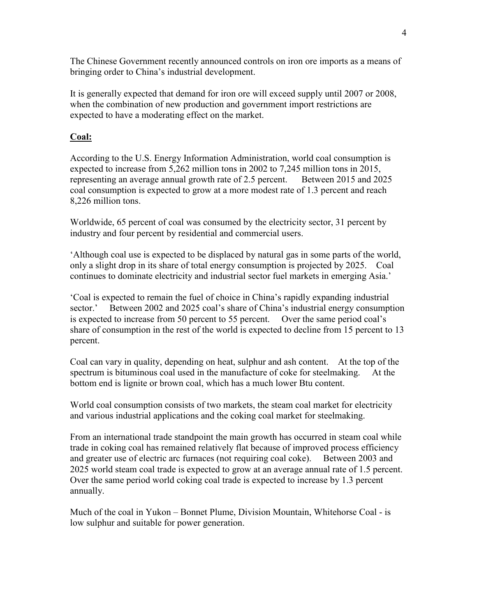The Chinese Government recently announced controls on iron ore imports as a means of bringing order to China's industrial development.

It is generally expected that demand for iron ore will exceed supply until 2007 or 2008, when the combination of new production and government import restrictions are expected to have a moderating effect on the market.

### Coal:

According to the U.S. Energy Information Administration, world coal consumption is expected to increase from 5,262 million tons in 2002 to 7,245 million tons in 2015, representing an average annual growth rate of 2.5 percent. Between 2015 and 2025 coal consumption is expected to grow at a more modest rate of 1.3 percent and reach 8,226 million tons.

Worldwide, 65 percent of coal was consumed by the electricity sector, 31 percent by industry and four percent by residential and commercial users.

'Although coal use is expected to be displaced by natural gas in some parts of the world, only a slight drop in its share of total energy consumption is projected by 2025. Coal continues to dominate electricity and industrial sector fuel markets in emerging Asia.'

'Coal is expected to remain the fuel of choice in China's rapidly expanding industrial sector.' Between 2002 and 2025 coal's share of China's industrial energy consumption is expected to increase from 50 percent to 55 percent. Over the same period coal's share of consumption in the rest of the world is expected to decline from 15 percent to 13 percent.

Coal can vary in quality, depending on heat, sulphur and ash content. At the top of the spectrum is bituminous coal used in the manufacture of coke for steelmaking. At the bottom end is lignite or brown coal, which has a much lower Btu content.

World coal consumption consists of two markets, the steam coal market for electricity and various industrial applications and the coking coal market for steelmaking.

From an international trade standpoint the main growth has occurred in steam coal while trade in coking coal has remained relatively flat because of improved process efficiency and greater use of electric arc furnaces (not requiring coal coke). Between 2003 and 2025 world steam coal trade is expected to grow at an average annual rate of 1.5 percent. Over the same period world coking coal trade is expected to increase by 1.3 percent annually.

Much of the coal in Yukon – Bonnet Plume, Division Mountain, Whitehorse Coal - is low sulphur and suitable for power generation.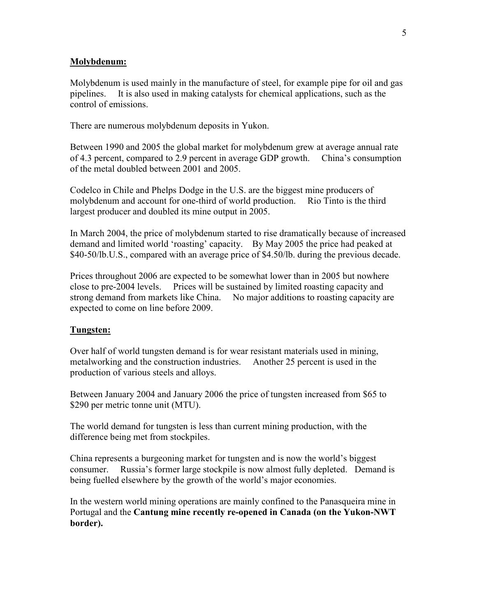#### Molybdenum:

Molybdenum is used mainly in the manufacture of steel, for example pipe for oil and gas pipelines. It is also used in making catalysts for chemical applications, such as the control of emissions.

There are numerous molybdenum deposits in Yukon.

Between 1990 and 2005 the global market for molybdenum grew at average annual rate of 4.3 percent, compared to 2.9 percent in average GDP growth. China's consumption of the metal doubled between 2001 and 2005.

Codelco in Chile and Phelps Dodge in the U.S. are the biggest mine producers of molybdenum and account for one-third of world production. Rio Tinto is the third largest producer and doubled its mine output in 2005.

In March 2004, the price of molybdenum started to rise dramatically because of increased demand and limited world 'roasting' capacity. By May 2005 the price had peaked at \$40-50/lb.U.S., compared with an average price of \$4.50/lb. during the previous decade.

Prices throughout 2006 are expected to be somewhat lower than in 2005 but nowhere close to pre-2004 levels. Prices will be sustained by limited roasting capacity and strong demand from markets like China. No major additions to roasting capacity are expected to come on line before 2009.

#### Tungsten:

Over half of world tungsten demand is for wear resistant materials used in mining, metalworking and the construction industries. Another 25 percent is used in the production of various steels and alloys.

Between January 2004 and January 2006 the price of tungsten increased from \$65 to \$290 per metric tonne unit (MTU).

The world demand for tungsten is less than current mining production, with the difference being met from stockpiles.

China represents a burgeoning market for tungsten and is now the world's biggest consumer. Russia's former large stockpile is now almost fully depleted. Demand is being fuelled elsewhere by the growth of the world's major economies.

In the western world mining operations are mainly confined to the Panasqueira mine in Portugal and the Cantung mine recently re-opened in Canada (on the Yukon-NWT border).